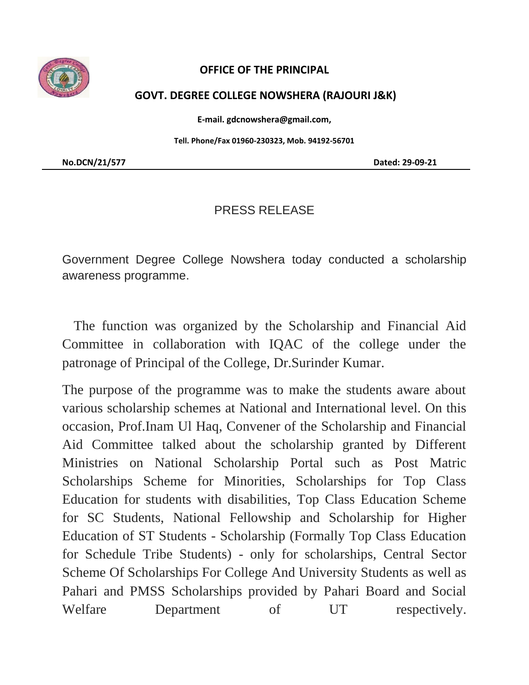

## **OFFICE OF THE PRINCIPAL**

## **GOVT. DEGREE COLLEGE NOWSHERA (RAJOURI J&K)**

**E-mail. gdcnowshera@gmail.com,**

**Tell. Phone/Fax 01960-230323, Mob. 94192-56701**

**No.DCN/21/577 Dated: 29-09-21**

## PRESS RELEASE

Government Degree College Nowshera today conducted a scholarship awareness programme.

 The function was organized by the Scholarship and Financial Aid Committee in collaboration with IQAC of the college under the patronage of Principal of the College, Dr.Surinder Kumar.

The purpose of the programme was to make the students aware about various scholarship schemes at National and International level. On this occasion, Prof.Inam Ul Haq, Convener of the Scholarship and Financial Aid Committee talked about the scholarship granted by Different Ministries on National Scholarship Portal such as Post Matric Scholarships Scheme for Minorities, Scholarships for Top Class Education for students with disabilities, Top Class Education Scheme for SC Students, National Fellowship and Scholarship for Higher Education of ST Students - Scholarship (Formally Top Class Education for Schedule Tribe Students) - only for scholarships, Central Sector Scheme Of Scholarships For College And University Students as well as Pahari and PMSS Scholarships provided by Pahari Board and Social Welfare Department of UT respectively.